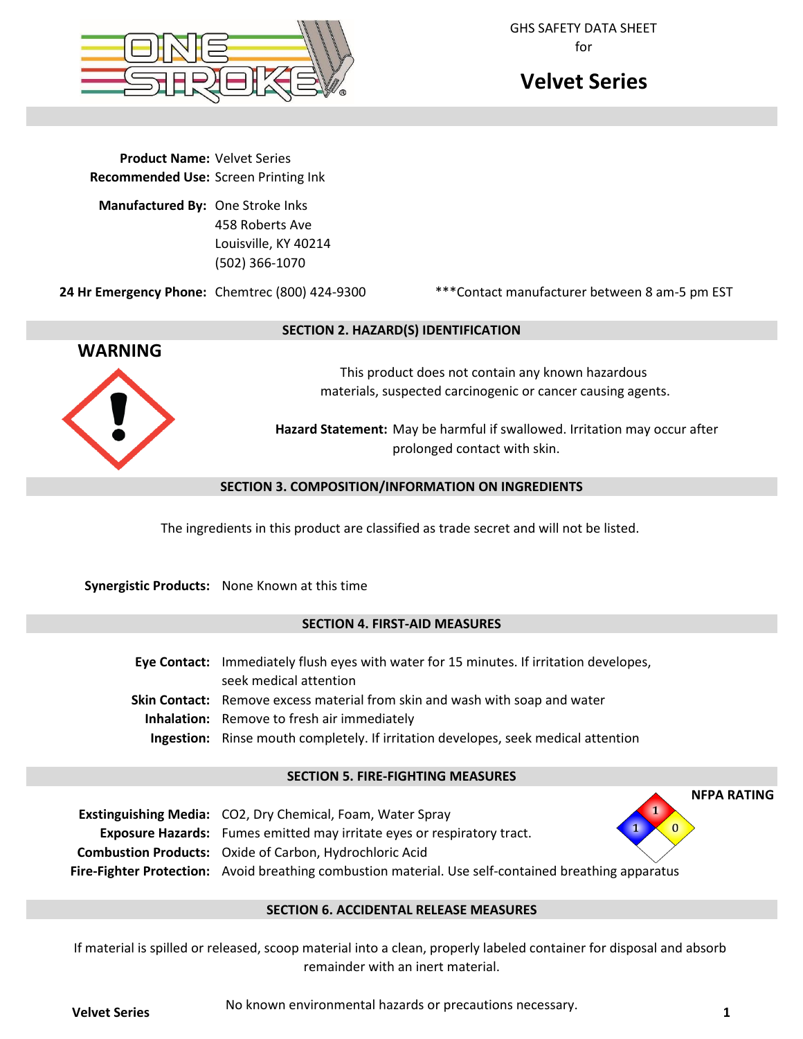

GHS SAFETY DATA SHEET for

# **Velvet Series**

**Product Name:** Velvet Series **Recommended Use:** Screen Printing Ink

**Manufactured By:** One Stroke Inks 458 Roberts Ave Louisville, KY 40214 (502) 366-1070

**24 Hr Emergency Phone:** Chemtrec (800) 424-9300

\*\*\*Contact manufacturer between 8 am-5 pm EST



## **SECTION 2. HAZARD(S) IDENTIFICATION**

This product does not contain any known hazardous materials, suspected carcinogenic or cancer causing agents.

**Hazard Statement:** May be harmful if swallowed. Irritation may occur after prolonged contact with skin.

## **SECTION 3. COMPOSITION/INFORMATION ON INGREDIENTS**

The ingredients in this product are classified as trade secret and will not be listed.

**Synergistic Products:** None Known at this time

# **SECTION 4. FIRST-AID MEASURES**

**Eye Contact:** Immediately flush eyes with water for 15 minutes. If irritation developes, seek medical attention Skin Contact: Remove excess material from skin and wash with soap and water **Inhalation:** Remove to fresh air immediately **Ingestion:** Rinse mouth completely. If irritation developes, seek medical attention

#### **SECTION 5. FIRE-FIGHTING MEASURES**

| <b>Exstinguishing Media:</b> CO2, Dry Chemical, Foam, Water Spray                                           | 1 |
|-------------------------------------------------------------------------------------------------------------|---|
| <b>Exposure Hazards:</b> Fumes emitted may irritate eyes or respiratory tract.                              |   |
| <b>Combustion Products:</b> Oxide of Carbon, Hydrochloric Acid                                              |   |
| <b>Fire-Fighter Protection:</b> Avoid breathing combustion material. Use self-contained breathing apparatus |   |

# **SECTION 6. ACCIDENTAL RELEASE MEASURES**

If material is spilled or released, scoop material into a clean, properly labeled container for disposal and absorb remainder with an inert material.

No known environmental hazards or precautions necessary. **Velvet Series <sup>1</sup>**

**NFPA RATING**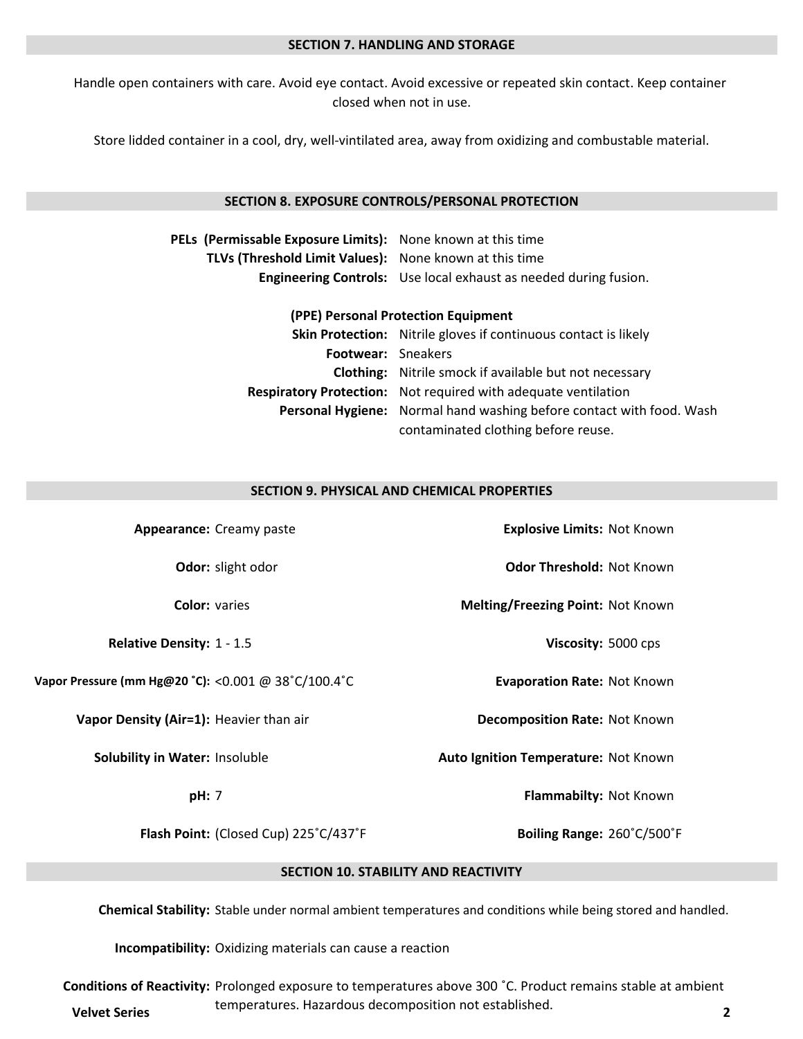#### **SECTION 7. HANDLING AND STORAGE**

Handle open containers with care. Avoid eye contact. Avoid excessive or repeated skin contact. Keep container closed when not in use.

Store lidded container in a cool, dry, well-vintilated area, away from oxidizing and combustable material.

#### **SECTION 8. EXPOSURE CONTROLS/PERSONAL PROTECTION**

| PELs (Permissable Exposure Limits): None known at this time |                                                                  |
|-------------------------------------------------------------|------------------------------------------------------------------|
| TLVs (Threshold Limit Values): None known at this time      |                                                                  |
|                                                             | Engineering Controls: Use local exhaust as needed during fusion. |

#### **(PPE) Personal Protection Equipment**

|                    | <b>Skin Protection:</b> Nitrile gloves if continuous contact is likely      |  |
|--------------------|-----------------------------------------------------------------------------|--|
| Footwear: Sneakers |                                                                             |  |
|                    | <b>Clothing:</b> Nitrile smock if available but not necessary               |  |
|                    | <b>Respiratory Protection:</b> Not required with adequate ventilation       |  |
|                    | <b>Personal Hygiene:</b> Normal hand washing before contact with food. Wash |  |
|                    | contaminated clothing before reuse.                                         |  |

#### **SECTION 9. PHYSICAL AND CHEMICAL PROPERTIES**

| Appearance: Creamy paste                            | <b>Explosive Limits: Not Known</b>   |  |  |
|-----------------------------------------------------|--------------------------------------|--|--|
| Odor: slight odor                                   | <b>Odor Threshold: Not Known</b>     |  |  |
| <b>Color: varies</b>                                | Melting/Freezing Point: Not Known    |  |  |
| Relative Density: 1 - 1.5                           | Viscosity: 5000 cps                  |  |  |
| Vapor Pressure (mm Hg@20 °C): <0.001 @ 38°C/100.4°C | <b>Evaporation Rate: Not Known</b>   |  |  |
| Vapor Density (Air=1): Heavier than air             | <b>Decomposition Rate: Not Known</b> |  |  |
| Solubility in Water: Insoluble                      | Auto Ignition Temperature: Not Known |  |  |
| pH: 7                                               | Flammabilty: Not Known               |  |  |
| Flash Point: (Closed Cup) 225°C/437°F               | Boiling Range: 260°C/500°F           |  |  |
| <b>SECTION 10. STABILITY AND REACTIVITY</b>         |                                      |  |  |

**Chemical Stability:** Stable under normal ambient temperatures and conditions while being stored and handled.

**Incompatibility:** Oxidizing materials can cause a reaction

**Conditions of Reactivity:** Prolonged exposure to temperatures above 300 °C. Product remains stable at ambient temperatures. Hazardous decomposition not established. **Velvet Series 2**